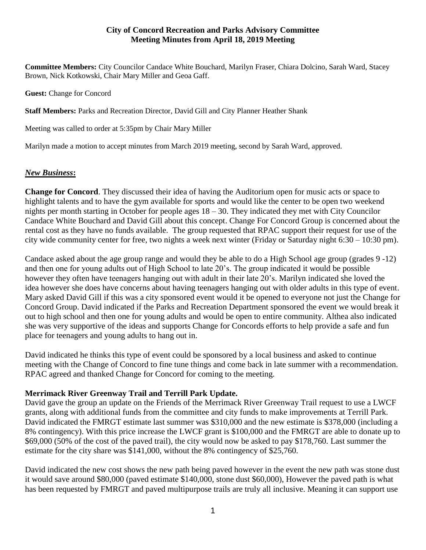## **City of Concord Recreation and Parks Advisory Committee Meeting Minutes from April 18, 2019 Meeting**

**Committee Members:** City Councilor Candace White Bouchard, Marilyn Fraser, Chiara Dolcino, Sarah Ward, Stacey Brown, Nick Kotkowski, Chair Mary Miller and Geoa Gaff.

**Guest:** Change for Concord

**Staff Members:** Parks and Recreation Director, David Gill and City Planner Heather Shank

Meeting was called to order at 5:35pm by Chair Mary Miller

Marilyn made a motion to accept minutes from March 2019 meeting, second by Sarah Ward, approved.

# *New Business***:**

**Change for Concord**. They discussed their idea of having the Auditorium open for music acts or space to highlight talents and to have the gym available for sports and would like the center to be open two weekend nights per month starting in October for people ages 18 – 30. They indicated they met with City Councilor Candace White Bouchard and David Gill about this concept. Change For Concord Group is concerned about the rental cost as they have no funds available. The group requested that RPAC support their request for use of the city wide community center for free, two nights a week next winter (Friday or Saturday night 6:30 – 10:30 pm).

Candace asked about the age group range and would they be able to do a High School age group (grades 9 -12) and then one for young adults out of High School to late 20's. The group indicated it would be possible however they often have teenagers hanging out with adult in their late 20's. Marilyn indicated she loved the idea however she does have concerns about having teenagers hanging out with older adults in this type of event. Mary asked David Gill if this was a city sponsored event would it be opened to everyone not just the Change for Concord Group. David indicated if the Parks and Recreation Department sponsored the event we would break it out to high school and then one for young adults and would be open to entire community. Althea also indicated she was very supportive of the ideas and supports Change for Concords efforts to help provide a safe and fun place for teenagers and young adults to hang out in.

David indicated he thinks this type of event could be sponsored by a local business and asked to continue meeting with the Change of Concord to fine tune things and come back in late summer with a recommendation. RPAC agreed and thanked Change for Concord for coming to the meeting.

# **Merrimack River Greenway Trail and Terrill Park Update.**

David gave the group an update on the Friends of the Merrimack River Greenway Trail request to use a LWCF grants, along with additional funds from the committee and city funds to make improvements at Terrill Park. David indicated the FMRGT estimate last summer was \$310,000 and the new estimate is \$378,000 (including a 8% contingency). With this price increase the LWCF grant is \$100,000 and the FMRGT are able to donate up to \$69,000 (50% of the cost of the paved trail), the city would now be asked to pay \$178,760. Last summer the estimate for the city share was \$141,000, without the 8% contingency of \$25,760.

David indicated the new cost shows the new path being paved however in the event the new path was stone dust it would save around \$80,000 (paved estimate \$140,000, stone dust \$60,000), However the paved path is what has been requested by FMRGT and paved multipurpose trails are truly all inclusive. Meaning it can support use